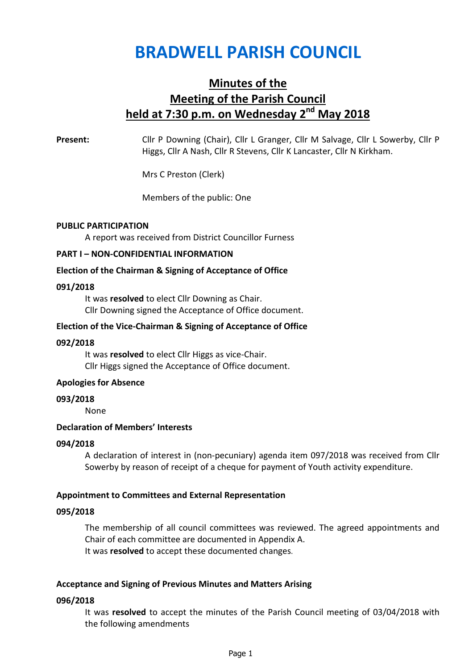# BRADWELL PARISH COUNCIL

## Minutes of the Meeting of the Parish Council held at  $7:30$  p.m. on Wednesday  $2^{nd}$  May 2018

Present: Cllr P Downing (Chair), Cllr L Granger, Cllr M Salvage, Cllr L Sowerby, Cllr P Higgs, Cllr A Nash, Cllr R Stevens, Cllr K Lancaster, Cllr N Kirkham.

Mrs C Preston (Clerk)

Members of the public: One

## PUBLIC PARTICIPATION

A report was received from District Councillor Furness

## PART I – NON-CONFIDENTIAL INFORMATION

## Election of the Chairman & Signing of Acceptance of Office

## 091/2018

It was resolved to elect Cllr Downing as Chair. Cllr Downing signed the Acceptance of Office document.

## Election of the Vice-Chairman & Signing of Acceptance of Office

#### 092/2018

It was resolved to elect Cllr Higgs as vice-Chair. Cllr Higgs signed the Acceptance of Office document.

## Apologies for Absence

#### 093/2018

None

#### Declaration of Members' Interests

#### 094/2018

A declaration of interest in (non-pecuniary) agenda item 097/2018 was received from Cllr Sowerby by reason of receipt of a cheque for payment of Youth activity expenditure.

## Appointment to Committees and External Representation

#### 095/2018

The membership of all council committees was reviewed. The agreed appointments and Chair of each committee are documented in Appendix A. It was resolved to accept these documented changes.

## Acceptance and Signing of Previous Minutes and Matters Arising

## 096/2018

It was resolved to accept the minutes of the Parish Council meeting of 03/04/2018 with the following amendments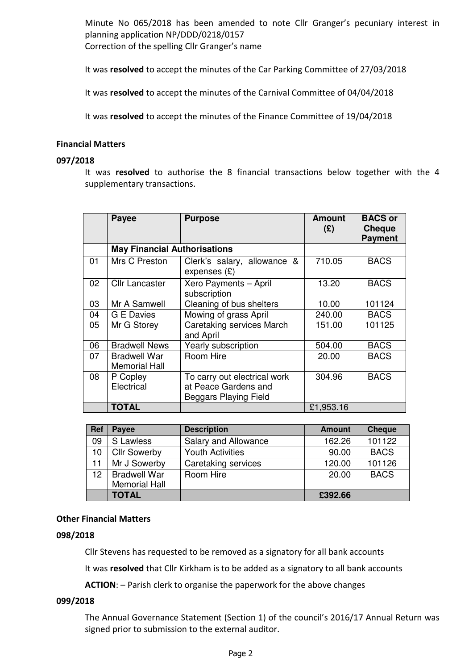Minute No 065/2018 has been amended to note Cllr Granger's pecuniary interest in planning application NP/DDD/0218/0157 Correction of the spelling Cllr Granger's name

It was resolved to accept the minutes of the Car Parking Committee of 27/03/2018

It was resolved to accept the minutes of the Carnival Committee of 04/04/2018

It was resolved to accept the minutes of the Finance Committee of 19/04/2018

## Financial Matters

## 097/2018

It was resolved to authorise the 8 financial transactions below together with the 4 supplementary transactions.

|    | Payee                                       | <b>Purpose</b>                                                                       | <b>Amount</b><br>(2) | <b>BACS or</b><br><b>Cheque</b><br><b>Payment</b> |
|----|---------------------------------------------|--------------------------------------------------------------------------------------|----------------------|---------------------------------------------------|
|    | <b>May Financial Authorisations</b>         |                                                                                      |                      |                                                   |
| 01 | Mrs C Preston                               | Clerk's salary, allowance &<br>expenses $(E)$                                        | 710.05               | <b>BACS</b>                                       |
| 02 | <b>Cllr Lancaster</b>                       | Xero Payments - April<br>subscription                                                | 13.20                | <b>BACS</b>                                       |
| 03 | Mr A Samwell                                | Cleaning of bus shelters                                                             | 10.00                | 101124                                            |
| 04 | <b>G E Davies</b>                           | Mowing of grass April                                                                | 240.00               | <b>BACS</b>                                       |
| 05 | Mr G Storey                                 | <b>Caretaking services March</b><br>and April                                        | 151.00               | 101125                                            |
| 06 | <b>Bradwell News</b>                        | Yearly subscription                                                                  | 504.00               | <b>BACS</b>                                       |
| 07 | <b>Bradwell War</b><br><b>Memorial Hall</b> | Room Hire                                                                            | 20.00                | <b>BACS</b>                                       |
| 08 | P Copley<br>Electrical                      | To carry out electrical work<br>at Peace Gardens and<br><b>Beggars Playing Field</b> | 304.96               | <b>BACS</b>                                       |
|    | <b>TOTAL</b>                                |                                                                                      | £1,953.16            |                                                   |

| Ref             | Payee                | <b>Description</b>      | <b>Amount</b> | <b>Cheque</b> |
|-----------------|----------------------|-------------------------|---------------|---------------|
| 09              | S Lawless            | Salary and Allowance    | 162.26        | 101122        |
| 10              | <b>Cllr Sowerby</b>  | <b>Youth Activities</b> | 90.00         | <b>BACS</b>   |
| 11              | Mr J Sowerby         | Caretaking services     | 120.00        | 101126        |
| 12 <sup>2</sup> | <b>Bradwell War</b>  | Room Hire               | 20.00         | <b>BACS</b>   |
|                 | <b>Memorial Hall</b> |                         |               |               |
|                 | <b>TOTAL</b>         |                         | £392.66       |               |

## Other Financial Matters

#### 098/2018

Cllr Stevens has requested to be removed as a signatory for all bank accounts

It was resolved that Cllr Kirkham is to be added as a signatory to all bank accounts

ACTION: – Parish clerk to organise the paperwork for the above changes

## 099/2018

The Annual Governance Statement (Section 1) of the council's 2016/17 Annual Return was signed prior to submission to the external auditor.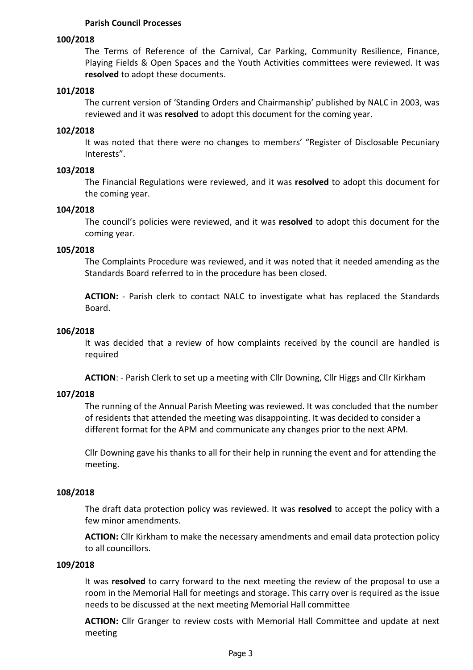## Parish Council Processes

## 100/2018

The Terms of Reference of the Carnival, Car Parking, Community Resilience, Finance, Playing Fields & Open Spaces and the Youth Activities committees were reviewed. It was resolved to adopt these documents.

#### 101/2018

The current version of 'Standing Orders and Chairmanship' published by NALC in 2003, was reviewed and it was resolved to adopt this document for the coming year.

#### 102/2018

It was noted that there were no changes to members' "Register of Disclosable Pecuniary Interests".

#### 103/2018

The Financial Regulations were reviewed, and it was resolved to adopt this document for the coming year.

#### 104/2018

The council's policies were reviewed, and it was resolved to adopt this document for the coming year.

## 105/2018

The Complaints Procedure was reviewed, and it was noted that it needed amending as the Standards Board referred to in the procedure has been closed.

ACTION: - Parish clerk to contact NALC to investigate what has replaced the Standards Board.

#### 106/2018

It was decided that a review of how complaints received by the council are handled is required

ACTION: - Parish Clerk to set up a meeting with Cllr Downing, Cllr Higgs and Cllr Kirkham

## 107/2018

The running of the Annual Parish Meeting was reviewed. It was concluded that the number of residents that attended the meeting was disappointing. It was decided to consider a different format for the APM and communicate any changes prior to the next APM.

Cllr Downing gave his thanks to all for their help in running the event and for attending the meeting.

#### 108/2018

The draft data protection policy was reviewed. It was resolved to accept the policy with a few minor amendments.

ACTION: Cllr Kirkham to make the necessary amendments and email data protection policy to all councillors.

#### 109/2018

It was resolved to carry forward to the next meeting the review of the proposal to use a room in the Memorial Hall for meetings and storage. This carry over is required as the issue needs to be discussed at the next meeting Memorial Hall committee

ACTION: Cllr Granger to review costs with Memorial Hall Committee and update at next meeting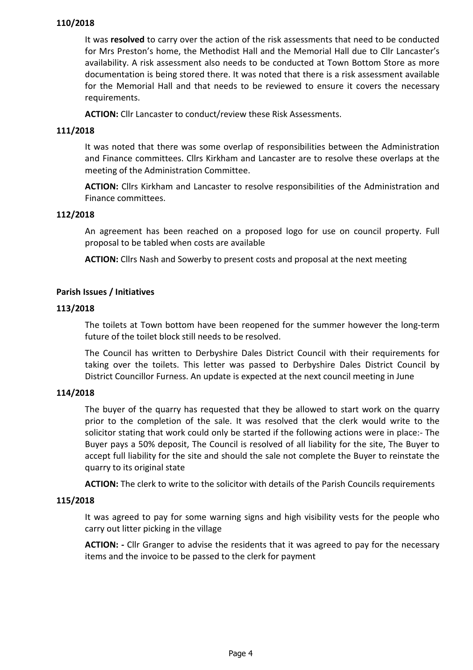## 110/2018

It was resolved to carry over the action of the risk assessments that need to be conducted for Mrs Preston's home, the Methodist Hall and the Memorial Hall due to Cllr Lancaster's availability. A risk assessment also needs to be conducted at Town Bottom Store as more documentation is being stored there. It was noted that there is a risk assessment available for the Memorial Hall and that needs to be reviewed to ensure it covers the necessary requirements.

ACTION: Cllr Lancaster to conduct/review these Risk Assessments.

## 111/2018

It was noted that there was some overlap of responsibilities between the Administration and Finance committees. Cllrs Kirkham and Lancaster are to resolve these overlaps at the meeting of the Administration Committee.

ACTION: Cllrs Kirkham and Lancaster to resolve responsibilities of the Administration and Finance committees.

## 112/2018

An agreement has been reached on a proposed logo for use on council property. Full proposal to be tabled when costs are available

ACTION: Cllrs Nash and Sowerby to present costs and proposal at the next meeting

## Parish Issues / Initiatives

## 113/2018

The toilets at Town bottom have been reopened for the summer however the long-term future of the toilet block still needs to be resolved.

The Council has written to Derbyshire Dales District Council with their requirements for taking over the toilets. This letter was passed to Derbyshire Dales District Council by District Councillor Furness. An update is expected at the next council meeting in June

## 114/2018

The buyer of the quarry has requested that they be allowed to start work on the quarry prior to the completion of the sale. It was resolved that the clerk would write to the solicitor stating that work could only be started if the following actions were in place:- The Buyer pays a 50% deposit, The Council is resolved of all liability for the site, The Buyer to accept full liability for the site and should the sale not complete the Buyer to reinstate the quarry to its original state

ACTION: The clerk to write to the solicitor with details of the Parish Councils requirements

## 115/2018

It was agreed to pay for some warning signs and high visibility vests for the people who carry out litter picking in the village

ACTION: - Cllr Granger to advise the residents that it was agreed to pay for the necessary items and the invoice to be passed to the clerk for payment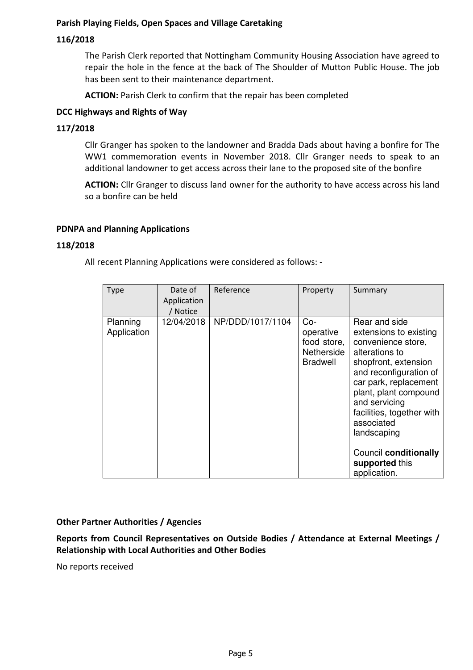## Parish Playing Fields, Open Spaces and Village Caretaking

## 116/2018

The Parish Clerk reported that Nottingham Community Housing Association have agreed to repair the hole in the fence at the back of The Shoulder of Mutton Public House. The job has been sent to their maintenance department.

ACTION: Parish Clerk to confirm that the repair has been completed

## DCC Highways and Rights of Way

## 117/2018

Cllr Granger has spoken to the landowner and Bradda Dads about having a bonfire for The WW1 commemoration events in November 2018. Cllr Granger needs to speak to an additional landowner to get access across their lane to the proposed site of the bonfire

ACTION: Cllr Granger to discuss land owner for the authority to have access across his land so a bonfire can be held

## PDNPA and Planning Applications

## 118/2018

All recent Planning Applications were considered as follows: -

| <b>Type</b>             | Date of<br>Application<br>/ Notice | Reference        | Property                                                           | Summary                                                                                                                                                                                                                                                                                                                   |
|-------------------------|------------------------------------|------------------|--------------------------------------------------------------------|---------------------------------------------------------------------------------------------------------------------------------------------------------------------------------------------------------------------------------------------------------------------------------------------------------------------------|
| Planning<br>Application | 12/04/2018                         | NP/DDD/1017/1104 | $Co-$<br>operative<br>food store,<br>Netherside<br><b>Bradwell</b> | Rear and side<br>extensions to existing<br>convenience store,<br>alterations to<br>shopfront, extension<br>and reconfiguration of<br>car park, replacement<br>plant, plant compound<br>and servicing<br>facilities, together with<br>associated<br>landscaping<br>Council conditionally<br>supported this<br>application. |

## Other Partner Authorities / Agencies

Reports from Council Representatives on Outside Bodies / Attendance at External Meetings / Relationship with Local Authorities and Other Bodies

No reports received